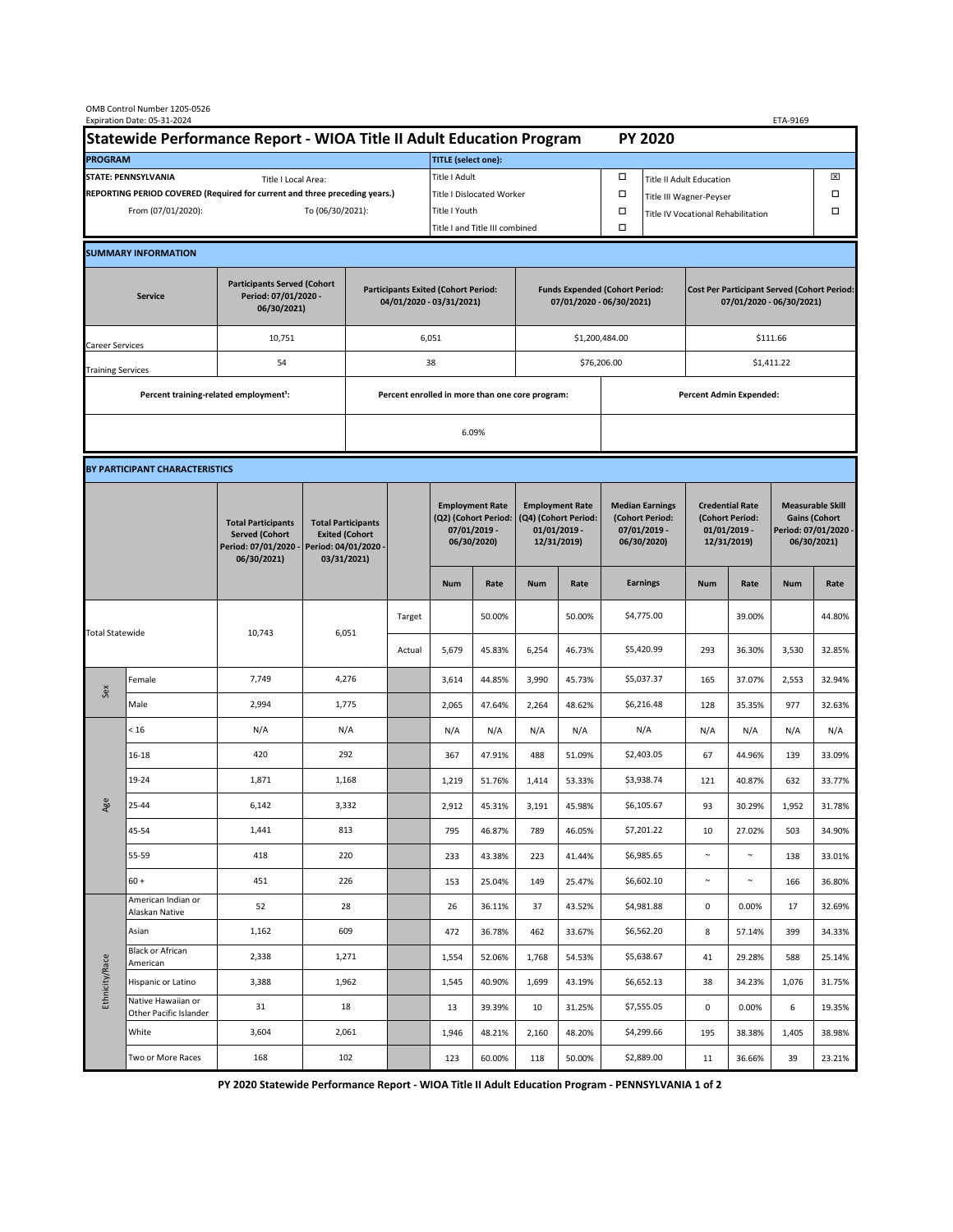| OMB Control Number 1205-0526<br>Expiration Date: 05-31-2024<br>ETA-9169                     |                                                    |                                                                                           |                                                                                           |                                                                        |        |                                                                               |                  |                                                                                 |                                |                                                                            |                                    |                                                                                |                 |                                                                                        |                  |  |
|---------------------------------------------------------------------------------------------|----------------------------------------------------|-------------------------------------------------------------------------------------------|-------------------------------------------------------------------------------------------|------------------------------------------------------------------------|--------|-------------------------------------------------------------------------------|------------------|---------------------------------------------------------------------------------|--------------------------------|----------------------------------------------------------------------------|------------------------------------|--------------------------------------------------------------------------------|-----------------|----------------------------------------------------------------------------------------|------------------|--|
| Statewide Performance Report - WIOA Title II Adult Education Program                        |                                                    |                                                                                           |                                                                                           |                                                                        |        |                                                                               |                  |                                                                                 |                                |                                                                            | <b>PY 2020</b>                     |                                                                                |                 |                                                                                        |                  |  |
| <b>PROGRAM</b>                                                                              |                                                    |                                                                                           |                                                                                           |                                                                        |        | <b>TITLE (select one):</b>                                                    |                  |                                                                                 |                                |                                                                            |                                    |                                                                                |                 |                                                                                        |                  |  |
| <b>STATE: PENNSYLVANIA</b><br>Title I Local Area:                                           |                                                    |                                                                                           |                                                                                           |                                                                        |        | Title I Adult                                                                 |                  |                                                                                 |                                | □<br><b>Title II Adult Education</b>                                       |                                    |                                                                                |                 |                                                                                        | ⊠                |  |
| REPORTING PERIOD COVERED (Required for current and three preceding years.)                  |                                                    |                                                                                           |                                                                                           |                                                                        |        | <b>Title I Dislocated Worker</b>                                              |                  |                                                                                 |                                | $\Box$                                                                     | $\Box$<br>Title III Wagner-Peyser  |                                                                                |                 |                                                                                        |                  |  |
| From (07/01/2020):                                                                          |                                                    |                                                                                           |                                                                                           | To (06/30/2021):                                                       |        |                                                                               | Title I Youth    |                                                                                 |                                | $\Box$                                                                     | Title IV Vocational Rehabilitation |                                                                                |                 |                                                                                        | $\Box$           |  |
|                                                                                             |                                                    |                                                                                           |                                                                                           |                                                                        |        | Title I and Title III combined                                                |                  |                                                                                 |                                | Ω                                                                          |                                    |                                                                                |                 |                                                                                        |                  |  |
|                                                                                             | <b>SUMMARY INFORMATION</b>                         |                                                                                           |                                                                                           |                                                                        |        |                                                                               |                  |                                                                                 |                                |                                                                            |                                    |                                                                                |                 |                                                                                        |                  |  |
| <b>Participants Served (Cohort</b><br>Period: 07/01/2020 -<br><b>Service</b><br>06/30/2021) |                                                    |                                                                                           |                                                                                           | <b>Participants Exited (Cohort Period:</b><br>04/01/2020 - 03/31/2021) |        |                                                                               |                  | <b>Funds Expended (Cohort Period:</b><br>07/01/2020 - 06/30/2021)               |                                |                                                                            |                                    | <b>Cost Per Participant Served (Cohort Period:</b><br>07/01/2020 - 06/30/2021) |                 |                                                                                        |                  |  |
| Career Services                                                                             |                                                    | 10,751                                                                                    |                                                                                           |                                                                        |        | 6,051                                                                         |                  |                                                                                 |                                | \$1,200,484.00                                                             |                                    | \$111.66                                                                       |                 |                                                                                        |                  |  |
| <b>Training Services</b>                                                                    |                                                    | 54                                                                                        | 38                                                                                        |                                                                        |        |                                                                               |                  |                                                                                 | \$76,206.00                    |                                                                            | \$1,411.22                         |                                                                                |                 |                                                                                        |                  |  |
|                                                                                             | Percent training-related employment <sup>1</sup> : |                                                                                           |                                                                                           | Percent enrolled in more than one core program:                        |        |                                                                               |                  |                                                                                 | <b>Percent Admin Expended:</b> |                                                                            |                                    |                                                                                |                 |                                                                                        |                  |  |
|                                                                                             |                                                    |                                                                                           |                                                                                           | 6.09%                                                                  |        |                                                                               |                  |                                                                                 |                                |                                                                            |                                    |                                                                                |                 |                                                                                        |                  |  |
|                                                                                             |                                                    |                                                                                           |                                                                                           |                                                                        |        |                                                                               |                  |                                                                                 |                                |                                                                            |                                    |                                                                                |                 |                                                                                        |                  |  |
|                                                                                             | BY PARTICIPANT CHARACTERISTICS                     |                                                                                           |                                                                                           |                                                                        |        |                                                                               |                  |                                                                                 |                                |                                                                            |                                    |                                                                                |                 |                                                                                        |                  |  |
|                                                                                             |                                                    | <b>Total Participants</b><br><b>Served (Cohort</b><br>Period: 07/01/2020 -<br>06/30/2021) | <b>Total Participants</b><br><b>Exited (Cohort</b><br>Period: 04/01/2020 -<br>03/31/2021) |                                                                        |        | <b>Employment Rate</b><br>(Q2) (Cohort Period:<br>07/01/2019 -<br>06/30/2020) |                  | <b>Employment Rate</b><br>(Q4) (Cohort Period:<br>$01/01/2019$ -<br>12/31/2019) |                                | <b>Median Earnings</b><br>(Cohort Period:<br>$07/01/2019 -$<br>06/30/2020) |                                    | <b>Credential Rate</b><br>(Cohort Period:<br>$01/01/2019$ -<br>12/31/2019)     |                 | <b>Measurable Skill</b><br><b>Gains (Cohort</b><br>Period: 07/01/2020 -<br>06/30/2021) |                  |  |
|                                                                                             |                                                    |                                                                                           |                                                                                           |                                                                        |        | <b>Num</b>                                                                    | Rate             | <b>Num</b>                                                                      | Rate                           |                                                                            | <b>Earnings</b>                    | <b>Num</b>                                                                     | Rate            | <b>Num</b>                                                                             | Rate             |  |
| <b>Total Statewide</b>                                                                      |                                                    |                                                                                           | 6,051<br>10,743                                                                           |                                                                        | Target |                                                                               | 50.00%           |                                                                                 | 50.00%                         |                                                                            | \$4,775.00                         |                                                                                | 39.00%          |                                                                                        | 44.80%           |  |
|                                                                                             |                                                    |                                                                                           |                                                                                           |                                                                        | Actual | 5,679                                                                         | 45.83%           | 6,254                                                                           | 46.73%                         |                                                                            | \$5,420.99                         | 293                                                                            | 36.30%          | 3,530                                                                                  | 32.85%           |  |
| Sex                                                                                         | Female                                             | 7,749                                                                                     | 4,276                                                                                     |                                                                        |        | 3,614                                                                         | 44.85%           | 3,990                                                                           | 45.73%                         |                                                                            | \$5,037.37                         | 165                                                                            | 37.07%          | 2,553                                                                                  | 32.94%           |  |
|                                                                                             | Male                                               | 2,994                                                                                     | 1,775                                                                                     |                                                                        |        | 2,065                                                                         | 47.64%           | 2,264                                                                           | 48.62%                         |                                                                            | \$6,216.48                         | 128                                                                            | 35.35%          | 977                                                                                    | 32.63%           |  |
| Age                                                                                         | < 16                                               | N/A                                                                                       | N/A                                                                                       |                                                                        |        | N/A                                                                           | N/A              | N/A                                                                             | N/A                            |                                                                            | N/A                                | N/A                                                                            | N/A             | N/A                                                                                    | N/A              |  |
|                                                                                             | $16 - 18$                                          | 420                                                                                       | 292                                                                                       |                                                                        |        | 367                                                                           | 47.91%           | 488                                                                             | 51.09%                         |                                                                            | \$2,403.05                         | 67                                                                             | 44.96%          | 139                                                                                    | 33.09%           |  |
|                                                                                             | 19-24                                              | 1,871                                                                                     | 1,168                                                                                     |                                                                        |        | 1,219                                                                         | 51.76%           | 1,414                                                                           | 53.33%                         |                                                                            | \$3,938.74                         | 121                                                                            | 40.87%          | 632                                                                                    | 33.77%           |  |
|                                                                                             | 25-44                                              | 6,142                                                                                     | 3,332                                                                                     |                                                                        |        | 2,912                                                                         | 45.31%           | 3,191                                                                           | 45.98%                         |                                                                            | \$6,105.67                         | 93                                                                             | 30.29%          | 1,952                                                                                  | 31.78%           |  |
|                                                                                             | 45-54                                              | 1,441                                                                                     | 813                                                                                       |                                                                        |        | 795                                                                           | 46.87%           | 789                                                                             | 46.05%                         |                                                                            | \$7,201.22                         | 10                                                                             | 27.02%          | 503                                                                                    | 34.90%           |  |
|                                                                                             | 55-59                                              | 418                                                                                       | 220                                                                                       |                                                                        |        | 233                                                                           | 43.38%           | 223                                                                             | 41.44%                         |                                                                            | \$6,985.65                         | $\sim$                                                                         | $\sim$          | 138                                                                                    | 33.01%           |  |
|                                                                                             | $60 +$<br>American Indian or                       | 451                                                                                       | 226                                                                                       |                                                                        |        | 153                                                                           | 25.04%           | 149                                                                             | 25.47%                         |                                                                            | \$6,602.10                         | $\sim$                                                                         | $\sim$          | 166                                                                                    | 36.80%           |  |
| Ethnicity/Race                                                                              | Alaskan Native                                     | 52                                                                                        | 28                                                                                        |                                                                        |        | 26                                                                            | 36.11%           | 37                                                                              | 43.52%                         |                                                                            | \$4,981.88                         | $\mathsf{O}\xspace$                                                            | 0.00%           | 17                                                                                     | 32.69%           |  |
|                                                                                             | Asian<br><b>Black or African</b>                   | 1,162                                                                                     | 609                                                                                       |                                                                        |        | 472                                                                           | 36.78%           | 462                                                                             | 33.67%                         |                                                                            | \$6,562.20                         | 8                                                                              | 57.14%          | 399                                                                                    | 34.33%           |  |
|                                                                                             | American                                           | 2,338                                                                                     | 1,271                                                                                     |                                                                        |        | 1,554                                                                         | 52.06%           | 1,768                                                                           | 54.53%                         |                                                                            | \$5,638.67                         | 41                                                                             | 29.28%          | 588                                                                                    | 25.14%           |  |
|                                                                                             | Hispanic or Latino<br>Native Hawaiian or           | 3,388<br>31                                                                               | 1,962<br>18                                                                               |                                                                        |        | 1,545                                                                         | 40.90%<br>39.39% | 1,699<br>10                                                                     | 43.19%<br>31.25%               |                                                                            | \$6,652.13<br>\$7,555.05           | 38<br>$\mathsf{O}\xspace$                                                      | 34.23%<br>0.00% | 1,076<br>6                                                                             | 31.75%<br>19.35% |  |
|                                                                                             | Other Pacific Islander<br>White                    | 3,604                                                                                     | 2,061                                                                                     |                                                                        |        | 13<br>1,946                                                                   | 48.21%           | 2,160                                                                           | 48.20%                         |                                                                            | \$4,299.66                         | 195                                                                            | 38.38%          | 1,405                                                                                  | 38.98%           |  |
|                                                                                             | Two or More Races                                  | 168                                                                                       | 102                                                                                       |                                                                        |        | 123                                                                           | 60.00%           | 118                                                                             | 50.00%                         |                                                                            | \$2,889.00                         | 11                                                                             | 36.66%          | 39                                                                                     | 23.21%           |  |
|                                                                                             |                                                    |                                                                                           |                                                                                           |                                                                        |        |                                                                               |                  |                                                                                 |                                |                                                                            |                                    |                                                                                |                 |                                                                                        |                  |  |

**PY 2020 Statewide Performance Report - WIOA Title II Adult Education Program - PENNSYLVANIA 1 of 2**